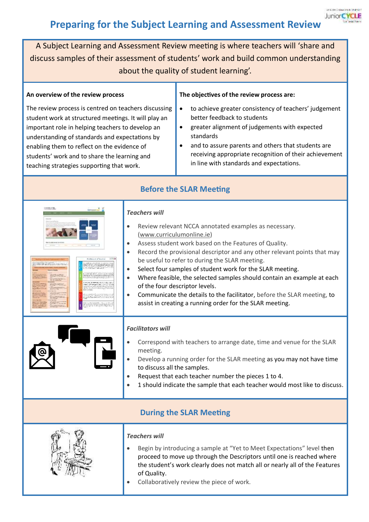## **Preparing for the Subject Learning and Assessment Review**

A Subject Learning and Assessment Review meeting is where teachers will 'share and discuss samples of their assessment of students' work and build common understanding about the quality of student learning'.

**Before the SLAR Meeting**

## **An overview of the review process**

The review process is centred on teachers discussing student work at structured meetings. It will play an important role in helping teachers to develop an understanding of standards and expectations by enabling them to reflect on the evidence of students' work and to share the learning and teaching strategies supporting that work.

## **The objectives of the review process are:**

- to achieve greater consistency of teachers' judgement better feedback to students
- greater alignment of judgements with expected standards
- and to assure parents and others that students are receiving appropriate recognition of their achievement in line with standards and expectations.

| TUTE CITE SERIA IVICE CITIE    |                                                                                                                                                                                                                                                                                                                                                                                                                                                                                                                                                                                                                   |  |
|--------------------------------|-------------------------------------------------------------------------------------------------------------------------------------------------------------------------------------------------------------------------------------------------------------------------------------------------------------------------------------------------------------------------------------------------------------------------------------------------------------------------------------------------------------------------------------------------------------------------------------------------------------------|--|
|                                | <b>Teachers will</b><br>Review relevant NCCA annotated examples as necessary.<br>(www.curriculumonline.ie)<br>Assess student work based on the Features of Quality.<br>Record the provisional descriptor and any other relevant points that may<br>be useful to refer to during the SLAR meeting.<br>Select four samples of student work for the SLAR meeting.<br>Where feasible, the selected samples should contain an example at each<br>of the four descriptor levels.<br>Communicate the details to the facilitator, before the SLAR meeting, to<br>assist in creating a running order for the SLAR meeting. |  |
|                                | <b>Facilitators will</b><br>Correspond with teachers to arrange date, time and venue for the SLAR<br>meeting.<br>Develop a running order for the SLAR meeting as you may not have time<br>to discuss all the samples.<br>Request that each teacher number the pieces 1 to 4.<br>1 should indicate the sample that each teacher would most like to discuss.                                                                                                                                                                                                                                                        |  |
| <b>During the SLAR Meeting</b> |                                                                                                                                                                                                                                                                                                                                                                                                                                                                                                                                                                                                                   |  |
|                                | <b>Teachers will</b><br>Begin by introducing a sample at "Yet to Meet Expectations" level then<br>proceed to move up through the Descriptors until one is reached where<br>the student's work clearly does not match all or nearly all of the Features<br>of Quality.<br>Collaboratively review the piece of work.                                                                                                                                                                                                                                                                                                |  |